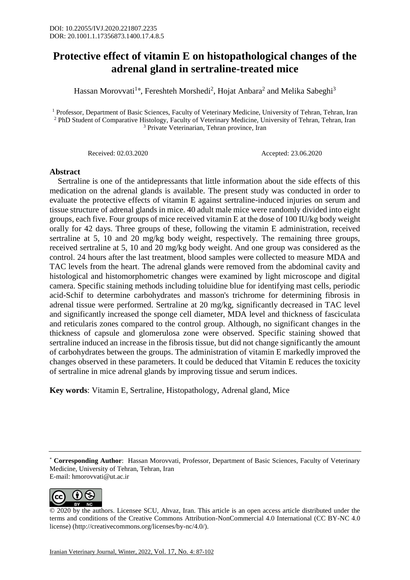## **Protective effect of vitamin E on histopathological changes of the adrenal gland in sertraline-treated mice**

Hassan Morovvati<sup>1\*</sup>, Fereshteh Morshedi<sup>2</sup>, Hojat Anbara<sup>2</sup> and Melika Sabeghi<sup>3</sup>

<sup>1</sup> Professor, Department of Basic Sciences, Faculty of Veterinary Medicine, University of Tehran, Tehran, Iran <sup>2</sup> PhD Student of Comparative Histology, Faculty of Veterinary Medicine, University of Tehran, Tehran, Iran <sup>3</sup> Private Veterinarian, Tehran province, Iran

Received: 02.03.2020 Accepted: 23.06.2020

## **Abstract**

 Sertraline is one of the antidepressants that little information about the side effects of this medication on the adrenal glands is available. The present study was conducted in order to evaluate the protective effects of vitamin E against sertraline-induced injuries on serum and tissue structure of adrenal glands in mice. 40 adult male mice were randomly divided into eight groups, each five. Four groups of mice received vitamin E at the dose of 100 IU/kg body weight orally for 42 days. Three groups of these, following the vitamin E administration, received sertraline at 5, 10 and 20 mg/kg body weight, respectively. The remaining three groups, received sertraline at 5, 10 and 20 mg/kg body weight. And one group was considered as the control. 24 hours after the last treatment, blood samples were collected to measure MDA and TAC levels from the heart. The adrenal glands were removed from the abdominal cavity and histological and histomorphometric changes were examined by light microscope and digital camera. Specific staining methods including toluidine blue for identifying mast cells, periodic acid-Schif to determine carbohydrates and masson's trichrome for determining fibrosis in adrenal tissue were performed. Sertraline at 20 mg/kg, significantly decreased in TAC level and significantly increased the sponge cell diameter, MDA level and thickness of fasciculata and reticularis zones compared to the control group. Although, no significant changes in the thickness of capsule and glomerulosa zone were observed. Specific staining showed that sertraline induced an increase in the fibrosis tissue, but did not change significantly the amount of carbohydrates between the groups. The administration of vitamin E markedly improved the changes observed in these parameters. It could be deduced that Vitamin E reduces the toxicity of sertraline in mice adrenal glands by improving tissue and serum indices.

**Key words**: Vitamin E, Sertraline, Histopathology, Adrenal gland, Mice

<sup>\*</sup> **Corresponding Author**: Hassan Morovvati, Professor, Department of Basic Sciences, Faculty of Veterinary Medicine, University of Tehran, Tehran, Iran E-mail: hmorovvati@ut.ac.ir



<sup>© 2020</sup> by the authors. Licensee SCU, Ahvaz, Iran. This article is an open access article distributed under the terms and conditions of the Creative Commons Attribution-NonCommercial 4.0 International (CC BY-NC 4.0 license) (http://creativecommons.org/licenses/by-nc/4.0/).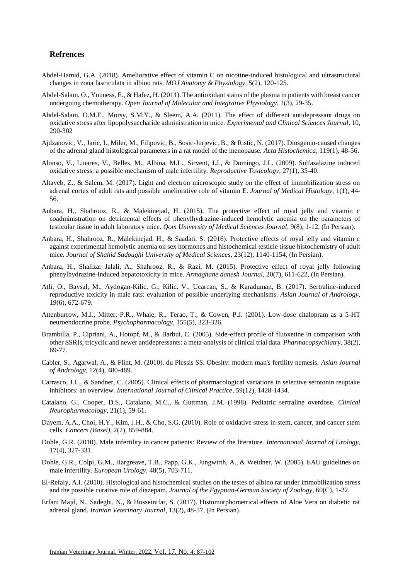## **Refrences**

- Abdel-Hamid, G.A. (2018). Ameliorative effect of vitamin C on nicotine-induced histological and ultrastructural changes in zona fasciculata in albino rats. *MOJ Anatomy & Physiology*, 5(2), 120-125.
- Abdel-Salam, O., Youness, E., & Hafez, H. (2011). The antioxidant status of the plasma in patients with breast cancer undergoing chemotherapy. *Open Journal of Molecular and Integrative Physiology*, 1(3), 29-35.
- Abdel-Salam, O.M.E., Morsy, S.M.Y., & Sleem, A.A. (2011). The effect of different antidepressant drugs on oxidative stress after lipopolysaccharide administration in mice. *Experimental and Clinical Sciences Journal*, 10, 290-302
- Ajdzanovic, V., Jaric, I., Miler, M., Filipovic, B., Sosic-Jurjevic, B., & Ristic, N. (2017). Diosgenin-caused changes of the adrenal gland histological parameters in a rat model of the menopause. *Acta Histochemica*, 119(1), 48-56.
- Alonso, V., Linares, V., Belles, M., Albina, M.L., Sirvent, J.J., & Domingo, J.L. (2009). Sulfasalazine induced oxidative stress: a possible mechanism of male infertility. *Reproductive Toxicology*, 27(1), 35-40.
- Altayeb, Z., & Salem, M. (2017). Light and electron microscopic study on the effect of immobilization stress on adrenal cortex of adult rats and possible ameliorative role of vitamin E. *Journal of Medical Histology*, 1(1), 44- 56.
- Anbara, H., Shahrooz, R., & Malekinejad, H. (2015). The protective effect of royal jelly and vitamin c coadministration on detrimental effects of phenylhydrazine-induced hemolytic anemia on the parameters of testicular tissue in adult laboratory mice. *Qom University of Medical Sciences Journal*, 9(8), 1-12, (In Persian).
- Anbara, H., Shahrooz, R., Malekinejad, H., & Saadati, S. (2016). Protective effects of royal jelly and vitamin c against experimental hemolytic anemia on sex hormones and histochemical testicle tissue histochemistry of adult mice. *Journal of Shahid Sadoughi University of Medical Sciences*, 23(12), 1140-1154, (In Persian).
- Anbara, H., Shalizar Jalali, A., Shahrooz, R., & Razi, M. (2015). Protective effect of royal jelly following phenylhydrazine-induced hepatotoxicity in mice. *Armaghane danesh Journal*, 20(7), 611-622, (In Persian).
- Atli, O., Baysal, M., Aydogan-Kilic, G., Kilic, V., Ucarcan, S., & Karaduman, B. (2017). Sertraline-induced reproductive toxicity in male rats: evaluation of possible underlying mechanisms. *Asian Journal of Andrology*, 19(6), 672-679.
- Attenburrow, M.J., Mitter, P.R., Whale, R., Terao, T., & Cowen, P.J. (2001). Low-dose citalopram as a 5-HT neuroendocrine probe. *Psychopharmacology*, 155(5), 323-326.
- Brambilla, P., Cipriani, A., Hotopf, M., & Barbui, C. (2005). Side-effect profile of fluoxetine in comparison with other SSRIs, tricyclic and newer antidepressants: a meta-analysis of clinical trial data. *Pharmacopsychiatry*, 38(2), 69-77.
- Cabler, S., Agarwal, A., & Flint, M. (2010). du Plessis SS. Obesity: modern man's fertility nemesis. *Asian Journal of Andrology*, 12(4), 480-489.
- Carrasco, J.L., & Sandner, C. (2005). Clinical effects of pharmacological variations in selective serotonin reuptake inhibitors: an overview. *International Journal of Clinical Practice*, 59(12), 1428-1434.
- Catalano, G., Cooper, D.S., Catalano, M.C., & Guttman, J.M. (1998). Pediatric sertraline overdose. *Clinical Neuropharmacology*, 21(1), 59-61.
- Dayem, A.A., Choi, H.Y., Kim, J.H., & Cho, S.G. (2010). Role of oxidative stress in stem, cancer, and cancer stem cells. *Cancers (Basel)*, 2(2), 859-884.
- Dohle, G.R. (2010). Male infertility in cancer patients: Review of the literature. *International Journal of Urology*, 17(4), 327-331.
- Dohle, G.R., Colpi, G.M., Hargreave, T.B., Papp, G.K., Jungwirth, A., & Weidner, W. (2005). EAU guidelines on male infertility. *European Urology*, 48(5), 703-711.
- El-Refaiy, A.I. (2010). Histological and histochemical studies on the testes of albino rat under immobilization stress and the possible curative role of diazepam. *Journal of the Egyptian-German Society of Zoology*, 60(C), 1-22.
- Erfani Majd, N., Sadeghi, N., & Hosseinifar, S. (2017). Histomorphometrical effects of Aloe Vera on diabetic rat adrenal gland. *Iranian Veterinary Journal*, 13(2), 48-57, (In Persian).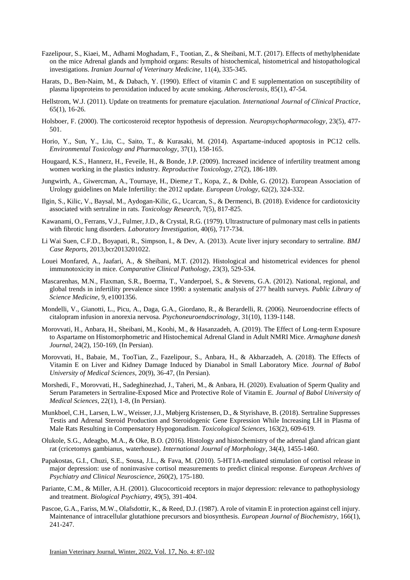- Fazelipour, S., Kiaei, M., Adhami Moghadam, F., Tootian, Z., & Sheibani, M.T. (2017). Effects of methylphenidate on the mice Adrenal glands and lymphoid organs: Results of histochemical, histometrical and histopathological investigations. *Iranian Journal of Veterinary Medicine*, 11(4), 335-345.
- Harats, D., Ben-Naim, M., & Dabach, Y. (1990). Effect of vitamin C and E supplementation on susceptibility of plasma lipoproteins to peroxidation induced by acute smoking. *Atherosclerosis*, 85(1), 47-54.
- Hellstrom, W.J. (2011). Update on treatments for premature ejaculation. *International Journal of Clinical Practice*, 65(1), 16-26.
- Holsboer, F. (2000). The corticosteroid receptor hypothesis of depression. *Neuropsychopharmacology*, 23(5), 477- 501.
- Horio, Y., Sun, Y., Liu, C., Saito, T., & Kurasaki, M. (2014). Aspartame-induced apoptosis in PC12 cells. *Environmental Toxicology and Pharmacology*, 37(1), 158-165.
- Hougaard, K.S., Hannerz, H., Feveile, H., & Bonde, J.P. (2009). Increased incidence of infertility treatment among women working in the plastics industry. *Reproductive Toxicology*, 27(2), 186-189.
- Jungwirth, A., Giwercman, A., Tournaye, H., Dieme,r T., Kopa, Z., & Dohle, G. (2012). European Association of Urology guidelines on Male Infertility: the 2012 update. *European Urology*, 62(2), 324-332.
- Ilgin, S., Kilic, V., Baysal, M., Aydogan-Kilic, G., Ucarcan, S., & Dermenci, B. (2018). Evidence for cardiotoxicity associated with sertraline in rats. *Toxicology Research*, 7(5), 817-825.
- Kawanami, O., Ferrans, V.J., Fulmer, J.D., & Crystal, R.G. (1979). Ultrastructure of pulmonary mast cells in patients with fibrotic lung disorders. *Laboratory Investigation*, 40(6), 717-734.
- Li Wai Suen, C.F.D., Boyapati, R., Simpson, I., & Dev, A. (2013). Acute liver injury secondary to sertraline. *BMJ Case Reports*, 2013,bcr2013201022.
- Louei Monfared, A., Jaafari, A., & Sheibani, M.T. (2012). Histological and histometrical evidences for phenol immunotoxicity in mice. *Comparative Clinical Pathology*, 23(3), 529-534.
- Mascarenhas, M.N., Flaxman, S.R., Boerma, T., Vanderpoel, S., & Stevens, G.A. (2012). National, regional, and global trends in infertility prevalence since 1990: a systematic analysis of 277 health surveys. *Public Library of Science Medicine*, 9, e1001356.
- Mondelli, V., Gianotti, L., Picu, A., Daga, G.A., Giordano, R., & Berardelli, R. (2006). Neuroendocrine effects of citalopram infusion in anorexia nervosa. *Psychoneuroendocrinology*, 31(10), 1139-1148.
- Morovvati, H., Anbara, H., Sheibani, M., Koohi, M., & Hasanzadeh, A. (2019). The Effect of Long-term Exposure to Aspartame on Histomorphometric and Histochemical Adrenal Gland in Adult NMRI Mice. *Armaghane danesh Journal*, 24(2), 150-169, (In Persian).
- Morovvati, H., Babaie, M., TooTian, Z., Fazelipour, S., Anbara, H., & Akbarzadeh, A. (2018). The Effects of Vitamin E on Liver and Kidney Damage Induced by Dianabol in Small Laboratory Mice. *Journal of Babol University of Medical Sciences*, 20(9), 36-47, (In Persian).
- Morshedi, F., Morovvati, H., Sadeghinezhad, J., Taheri, M., & Anbara, H. (2020). Evaluation of Sperm Quality and Serum Parameters in Sertraline-Exposed Mice and Protective Role of Vitamin E. *Journal of Babol University of Medical Sciences*, 22(1), 1-8, (In Persian).
- Munkboel, C.H., Larsen, L.W., Weisser, J.J., Møbjerg Kristensen, D., & Styrishave, B. (2018). Sertraline Suppresses Testis and Adrenal Steroid Production and Steroidogenic Gene Expression While Increasing LH in Plasma of Male Rats Resulting in Compensatory Hypogonadism. *Toxicological Sciences*, 163(2), 609-619.
- Olukole, S.G., Adeagbo, M.A., & Oke, B.O. (2016). Histology and histochemistry of the adrenal gland african giant rat (cricetomys gambianus, waterhouse). *International Journal of Morphology*, 34(4), 1455-1460.
- Papakostas, G.I., Chuzi, S.E., Sousa, J.L., & Fava, M. (2010). 5-HT1A-mediated stimulation of cortisol release in major depression: use of noninvasive cortisol measurements to predict clinical response. *European Archives of Psychiatry and Clinical Neuroscience*, 260(2), 175-180.
- Pariante, C.M., & Miller, A.H. (2001). Glucocorticoid receptors in major depression: relevance to pathophysiology and treatment. *Biological Psychiatry*, 49(5), 391-404.
- Pascoe, G.A., Fariss, M.W., Olafsdottir, K., & Reed, D.J. (1987). A role of vitamin E in protection against cell injury. Maintenance of intracellular glutathione precursors and biosynthesis. *European Journal of Biochemistry*, 166(1), 241-247.